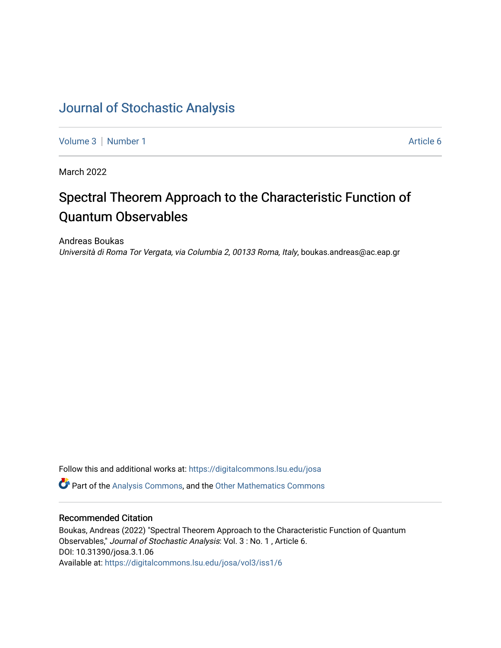# [Journal of Stochastic Analysis](https://digitalcommons.lsu.edu/josa)

[Volume 3](https://digitalcommons.lsu.edu/josa/vol3) | [Number 1](https://digitalcommons.lsu.edu/josa/vol3/iss1) Article 6

March 2022

# Spectral Theorem Approach to the Characteristic Function of Quantum Observables

Andreas Boukas Università di Roma Tor Vergata, via Columbia 2, 00133 Roma, Italy, boukas.andreas@ac.eap.gr

Follow this and additional works at: [https://digitalcommons.lsu.edu/josa](https://digitalcommons.lsu.edu/josa?utm_source=digitalcommons.lsu.edu%2Fjosa%2Fvol3%2Fiss1%2F6&utm_medium=PDF&utm_campaign=PDFCoverPages) 

**P** Part of the [Analysis Commons](http://network.bepress.com/hgg/discipline/177?utm_source=digitalcommons.lsu.edu%2Fjosa%2Fvol3%2Fiss1%2F6&utm_medium=PDF&utm_campaign=PDFCoverPages), and the [Other Mathematics Commons](http://network.bepress.com/hgg/discipline/185?utm_source=digitalcommons.lsu.edu%2Fjosa%2Fvol3%2Fiss1%2F6&utm_medium=PDF&utm_campaign=PDFCoverPages)

# Recommended Citation

Boukas, Andreas (2022) "Spectral Theorem Approach to the Characteristic Function of Quantum Observables," Journal of Stochastic Analysis: Vol. 3 : No. 1 , Article 6. DOI: 10.31390/josa.3.1.06 Available at: [https://digitalcommons.lsu.edu/josa/vol3/iss1/6](https://digitalcommons.lsu.edu/josa/vol3/iss1/6?utm_source=digitalcommons.lsu.edu%2Fjosa%2Fvol3%2Fiss1%2F6&utm_medium=PDF&utm_campaign=PDFCoverPages)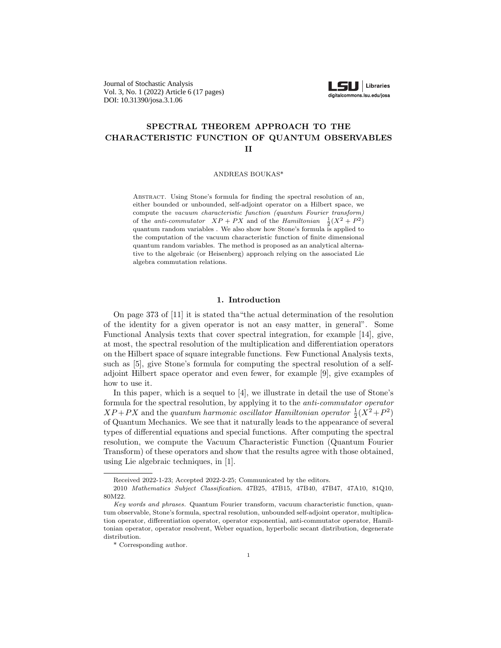Journal of Stochastic Analysis Vol. 3, No. 1 (2022) Article 6 (17 pages) DOI: 10.31390/josa.3.1.06



## **SPECTRAL THEOREM APPROACH TO THE CHARACTERISTIC FUNCTION OF QUANTUM OBSERVABLES II**

ANDREAS BOUKAS\*

Abstract. Using Stone's formula for finding the spectral resolution of an, either bounded or unbounded, self-adjoint operator on a Hilbert space, we compute the *vacuum characteristic function (quantum Fourier transform)* of the *anti-commutator*  $XP + PX$  and of the *Hamiltonian*  $\frac{1}{2}(X^2 + P^2)$ quantum random variables . We also show how Stone's formula is applied to the computation of the vacuum characteristic function of finite dimensional quantum random variables. The method is proposed as an analytical alternative to the algebraic (or Heisenberg) approach relying on the associated Lie algebra commutation relations.

#### **1. Introduction**

On page 373 of [11] it is stated tha"the actual determination of the resolution of the identity for a given operator is not an easy matter, in general". Some Functional Analysis texts that cover spectral integration, for example [14], give, at most, the spectral resolution of the multiplication and differentiation operators on the Hilbert space of square integrable functions. Few Functional Analysis texts, such as [5], give Stone's formula for computing the spectral resolution of a selfadjoint Hilbert space operator and even fewer, for example [9], give examples of how to use it.

In this paper, which is a sequel to [4], we illustrate in detail the use of Stone's formula for the spectral resolution, by applying it to the *anti-commutator operator*  $XP + PX$  and the *quantum harmonic oscillator Hamiltonian operator*  $\frac{1}{2}(X^2 + P^2)$ of Quantum Mechanics. We see that it naturally leads to the appearance of several types of differential equations and special functions. After computing the spectral resolution, we compute the Vacuum Characteristic Function (Quantum Fourier Transform) of these operators and show that the results agree with those obtained, using Lie algebraic techniques, in [1].

Received 2022-1-23; Accepted 2022-2-25; Communicated by the editors.

<sup>2010</sup> *Mathematics Subject Classification.* 47B25, 47B15, 47B40, 47B47, 47A10, 81Q10, 80M22.

*Key words and phrases.* Quantum Fourier transform, vacuum characteristic function, quantum observable, Stone's formula, spectral resolution, unbounded self-adjoint operator, multiplication operator, differentiation operator, operator exponential, anti-commutator operator, Hamiltonian operator, operator resolvent, Weber equation, hyperbolic secant distribution, degenerate distribution.

<sup>\*</sup> Corresponding author.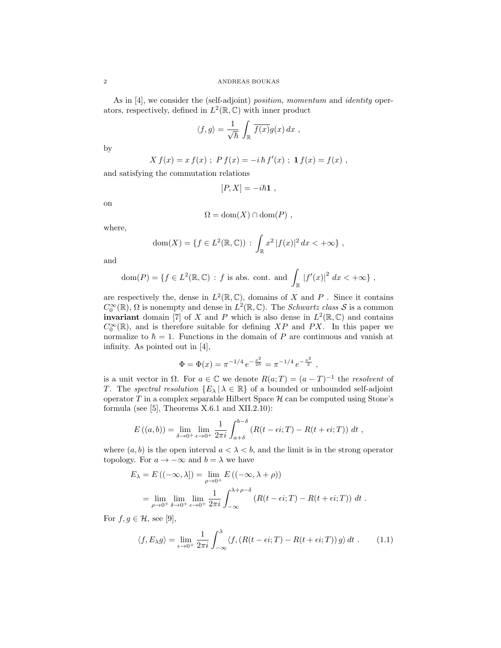As in [4], we consider the (self-adjoint) *position, momentum* and *identity* operators, respectively, defined in  $L^2(\mathbb{R}, \mathbb{C})$  with inner product

$$
\langle f, g \rangle = \frac{1}{\sqrt{\hbar}} \int_{\mathbb{R}} \overline{f(x)} g(x) \, dx \;,
$$

by

$$
X f(x) = x f(x) ; P f(x) = -i \hbar f'(x) ; \mathbf{1} f(x) = f(x) ,
$$

and satisfying the commutation relations

 $[P, X] = -i\hbar 1$ ,

on

$$
\Omega = \text{dom}(X) \cap \text{dom}(P) ,
$$

where,

$$
dom(X) = \{ f \in L^{2}(\mathbb{R}, \mathbb{C}) : \int_{\mathbb{R}} x^{2} |f(x)|^{2} dx < +\infty \},
$$

and

$$
\text{dom}(P) = \{ f \in L^2(\mathbb{R}, \mathbb{C}) : f \text{ is abs. cont. and } \int_{\mathbb{R}} |f'(x)|^2 dx < +\infty \},
$$

are respectively the, dense in  $L^2(\mathbb{R}, \mathbb{C})$ , domains of X and P . Since it contains  $C_0^{\infty}(\mathbb{R})$ ,  $\Omega$  is nonempty and dense in  $L^2(\mathbb{R}, \mathbb{C})$ . The *Schwartz class S* is a common **invariant** domain [7] of *X* and *P* which is also dense in  $L^2(\mathbb{R}, \mathbb{C})$  and contains  $C_0^{\infty}(\mathbb{R})$ , and is therefore suitable for defining *XP* and *PX*. In this paper we normalize to  $\hbar = 1$ . Functions in the domain of *P* are continuous and vanish at infinity. As pointed out in [4],

$$
\Phi = \Phi(x) = \pi^{-1/4} e^{-\frac{x^2}{2\hbar}} = \pi^{-1/4} e^{-\frac{x^2}{2}},
$$

is a unit vector in  $\Omega$ . For  $a \in \mathbb{C}$  we denote  $R(a;T) = (a-T)^{-1}$  the *resolvent* of *T*. The *spectral resolution*  ${E_\lambda | \lambda \in \mathbb{R}}$  of a bounded or unbounded self-adjoint operator  $T$  in a complex separable Hilbert Space  $H$  can be computed using Stone's formula (see  $[5]$ , Theorems X.6.1 and XII.2.10):

$$
E((a,b)) = \lim_{\delta \to 0^+} \lim_{\epsilon \to 0^+} \frac{1}{2\pi i} \int_{a+\delta}^{b-\delta} (R(t-\epsilon i;T) - R(t+\epsilon i;T)) dt,
$$

where  $(a, b)$  is the open interval  $a < \lambda < b$ , and the limit is in the strong operator topology. For  $a \to -\infty$  and  $b = \lambda$  we have

$$
E_{\lambda} = E((-\infty, \lambda]) = \lim_{\rho \to 0^{+}} E((-\infty, \lambda + \rho))
$$
  
= 
$$
\lim_{\rho \to 0^{+}} \lim_{\delta \to 0^{+}} \lim_{\epsilon \to 0^{+}} \frac{1}{2\pi i} \int_{-\infty}^{\lambda + \rho - \delta} (R(t - \epsilon i; T) - R(t + \epsilon i; T)) dt.
$$

For  $f, g \in \mathcal{H}$ , see [9],

$$
\langle f, E_{\lambda} g \rangle = \lim_{\epsilon \to 0^+} \frac{1}{2\pi i} \int_{-\infty}^{\lambda} \langle f, \left( R(t - \epsilon i; T) - R(t + \epsilon i; T) \right) g \rangle dt . \tag{1.1}
$$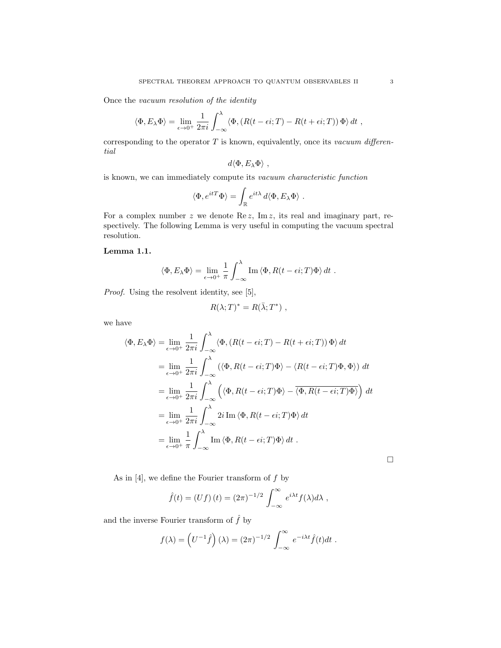Once the *vacuum resolution of the identity*

$$
\langle \Phi, E_{\lambda} \Phi \rangle = \lim_{\epsilon \to 0^+} \frac{1}{2\pi i} \int_{-\infty}^{\lambda} \langle \Phi, (R(t - \epsilon i; T) - R(t + \epsilon i; T)) \Phi \rangle dt ,
$$

corresponding to the operator *T* is known, equivalently, once its *vacuum differential*

$$
d\langle \Phi, E_\lambda \Phi \rangle \ ,
$$

is known, we can immediately compute its *vacuum characteristic function*

$$
\langle \Phi, e^{itT} \Phi \rangle = \int_{\mathbb{R}} e^{it\lambda} d \langle \Phi, E_{\lambda} \Phi \rangle.
$$

For a complex number *z* we denote Re *z*, Im *z*, its real and imaginary part, respectively. The following Lemma is very useful in computing the vacuum spectral resolution.

### **Lemma 1.1.**

$$
\langle \Phi, E_{\lambda} \Phi \rangle = \lim_{\epsilon \to 0^+} \frac{1}{\pi} \int_{-\infty}^{\lambda} \text{Im} \langle \Phi, R(t - \epsilon i; T) \Phi \rangle dt.
$$

*Proof.* Using the resolvent identity, see [5],

$$
R(\lambda;T)^* = R(\bar{\lambda};T^*) ,
$$

we have

$$
\langle \Phi, E_{\lambda} \Phi \rangle = \lim_{\epsilon \to 0^{+}} \frac{1}{2\pi i} \int_{-\infty}^{\lambda} \langle \Phi, (R(t - \epsilon i; T) - R(t + \epsilon i; T)) \Phi \rangle dt
$$
  
\n
$$
= \lim_{\epsilon \to 0^{+}} \frac{1}{2\pi i} \int_{-\infty}^{\lambda} \langle \langle \Phi, R(t - \epsilon i; T) \Phi \rangle - \langle R(t - \epsilon i; T) \Phi, \Phi \rangle dt
$$
  
\n
$$
= \lim_{\epsilon \to 0^{+}} \frac{1}{2\pi i} \int_{-\infty}^{\lambda} \langle \langle \Phi, R(t - \epsilon i; T) \Phi \rangle - \overline{\langle \Phi, R(t - \epsilon i; T) \Phi \rangle} dt
$$
  
\n
$$
= \lim_{\epsilon \to 0^{+}} \frac{1}{2\pi i} \int_{-\infty}^{\lambda} 2i \operatorname{Im} \langle \Phi, R(t - \epsilon i; T) \Phi \rangle dt
$$
  
\n
$$
= \lim_{\epsilon \to 0^{+}} \frac{1}{\pi} \int_{-\infty}^{\lambda} \operatorname{Im} \langle \Phi, R(t - \epsilon i; T) \Phi \rangle dt.
$$

□

As in [4], we define the Fourier transform of *f* by

$$
\hat{f}(t) = (Uf)(t) = (2\pi)^{-1/2} \int_{-\infty}^{\infty} e^{i\lambda t} f(\lambda) d\lambda,
$$

and the inverse Fourier transform of  $\hat{f}$  by

$$
f(\lambda) = \left(U^{-1}\hat{f}\right)(\lambda) = (2\pi)^{-1/2} \int_{-\infty}^{\infty} e^{-i\lambda t} \hat{f}(t) dt.
$$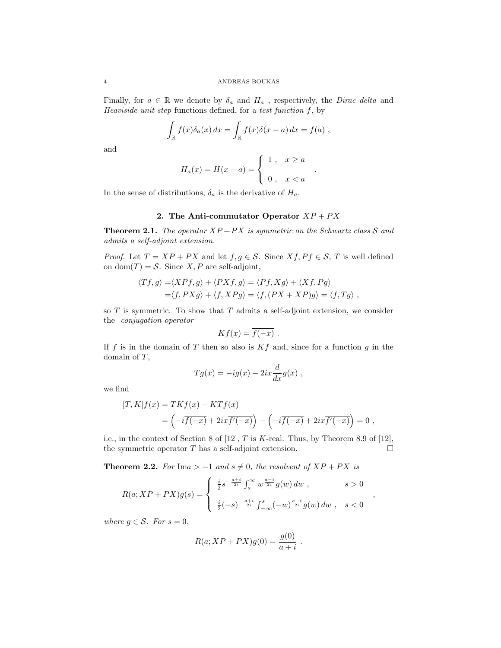Finally, for  $a \in \mathbb{R}$  we denote by  $\delta_a$  and  $H_a$ , respectively, the *Dirac delta* and *Heaviside unit step* functions defined, for a *test function f*, by

$$
\int_{\mathbb{R}} f(x)\delta_a(x) dx = \int_{\mathbb{R}} f(x)\delta(x-a) dx = f(a) ,
$$

and

$$
H_a(x) = H(x - a) = \begin{cases} 1, & x \ge a \\ 0, & x < a \end{cases}
$$

In the sense of distributions,  $\delta_a$  is the derivative of  $H_a$ .

### **2.** The Anti-commutator Operator  $XP + PX$

**Theorem 2.1.** *The operator*  $XP + PX$  *is symmetric on the Schwartz class*  $S$  *and admits a self-adjoint extension.*

*Proof.* Let  $T = XP + PX$  and let  $f, g \in S$ . Since  $Xf, Pf \in S$ , *T* is well defined on dom $(T) = S$ . Since *X*, *P* are self-adjoint,

$$
\langle Tf, g \rangle = \langle XPf, g \rangle + \langle PXf, g \rangle = \langle Pf, Xg \rangle + \langle Xf, Pg \rangle
$$
  
=  $\langle f, PXg \rangle + \langle f, XPg \rangle = \langle f, (PX + XP)g \rangle = \langle f, Tg \rangle$ ,

so *T* is symmetric. To show that *T* admits a self-adjoint extension, we consider the *conjugation operator*

$$
Kf(x) = \overline{f(-x)}.
$$

If *f* is in the domain of *T* then so also is *Kf* and, since for a function *g* in the domain of *T*,

$$
Tg(x) = -ig(x) - 2ix\frac{d}{dx}g(x) ,
$$

we find

$$
[T,K]f(x) = TKf(x) - KTf(x)
$$
  
= 
$$
\left(-i\overline{f(-x)} + 2ix\overline{f'(-x)}\right) - \left(-i\overline{f(-x)} + 2ix\overline{f'(-x)}\right) = 0,
$$

i.e., in the context of Section 8 of [12], *T* is *K*-real. Thus, by Theorem 8.9 of [12], the symmetric operator  $T$  has a self-adjoint extension.  $\Box$ 

**Theorem 2.2.** *For* Ima >  $-1$  *and*  $s \neq 0$ *, the resolvent of*  $XP + PX$  *is* 

$$
R(a;XP+PX)g(s) = \begin{cases} \frac{i}{2}s^{-\frac{a+i}{2i}} \int_s^{\infty} w^{\frac{a-i}{2i}} g(w) dw, & s > 0 \\ \frac{i}{2}(-s)^{-\frac{a+i}{2i}} \int_{-\infty}^s (-w)^{\frac{a-i}{2i}} g(w) dw, & s < 0 \end{cases}
$$

*,*

*where*  $g \in \mathcal{S}$ *. For*  $s = 0$ *,* 

$$
R(a;XP+PX)g(0) = \frac{g(0)}{a+i}.
$$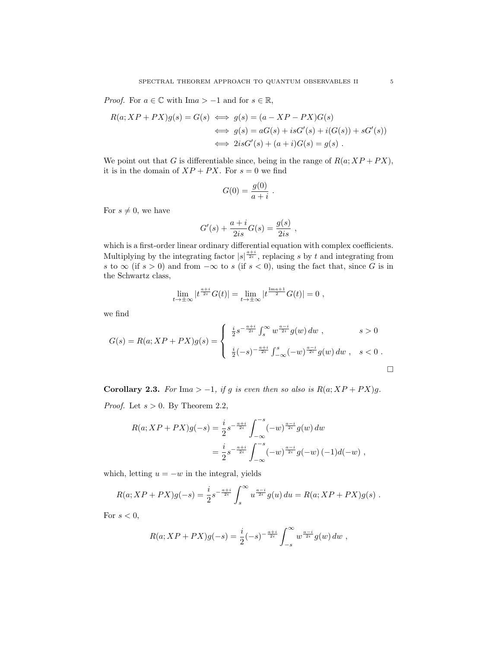*Proof.* For  $a \in \mathbb{C}$  with Im $a > -1$  and for  $s \in \mathbb{R}$ ,

$$
R(a; XP + PX)g(s) = G(s) \iff g(s) = (a - XP - PX)G(s)
$$
  

$$
\iff g(s) = aG(s) + isG'(s) + i(G(s)) + sG'(s))
$$
  

$$
\iff 2isG'(s) + (a+i)G(s) = g(s).
$$

We point out that *G* is differentiable since, being in the range of  $R(a; XP + PX)$ , it is in the domain of  $XP + PX$ . For  $s = 0$  we find

$$
G(0) = \frac{g(0)}{a+i} \ .
$$

For  $s \neq 0$ , we have

$$
G'(s) + \frac{a+i}{2is}G(s) = \frac{g(s)}{2is} ,
$$

which is a first-order linear ordinary differential equation with complex coefficients. Multiplying by the integrating factor  $|s|^{\frac{a+i}{2i}}$ , replacing *s* by *t* and integrating from *s* to ∞ (if  $s > 0$ ) and from  $-\infty$  to *s* (if  $s < 0$ ), using the fact that, since *G* is in the Schwartz class,

$$
\lim_{t \to \pm \infty} |t^{\frac{a+i}{2i}} G(t)| = \lim_{t \to \pm \infty} |t^{\frac{\text{Im} a+1}{2}} G(t)| = 0,
$$

we find

$$
G(s) = R(a; XP + PX)g(s) = \begin{cases} \frac{i}{2}s^{-\frac{a+i}{2i}} \int_s^{\infty} w^{\frac{a-i}{2i}} g(w) dw, & s > 0 \\ \frac{i}{2}(-s)^{-\frac{a+i}{2i}} \int_{-\infty}^s (-w)^{\frac{a-i}{2i}} g(w) dw, & s < 0. \end{cases}
$$

**Corollary 2.3.** *For*  $\text{Im}a > -1$ *, if g is even then so also is*  $R(a;XP+PX)g$ *. Proof.* Let *s >* 0. By Theorem 2.2,

$$
R(a;XP+PX)g(-s) = \frac{i}{2}s^{-\frac{a+i}{2i}} \int_{-\infty}^{-s} (-w)^{\frac{a-i}{2i}} g(w) dw
$$
  
=  $\frac{i}{2}s^{-\frac{a+i}{2i}} \int_{-\infty}^{-s} (-w)^{\frac{a-i}{2i}} g(-w) (-1) d(-w)$ ,

which, letting  $u = -w$  in the integral, yields

$$
R(a;XP+PX)g(-s) = \frac{i}{2}s^{-\frac{a+i}{2i}} \int_s^{\infty} u^{\frac{a-i}{2i}} g(u) du = R(a;XP+PX)g(s) .
$$

For  $s < 0$ ,

$$
R(a;XP+PX)g(-s) = \frac{i}{2}(-s)^{-\frac{a+i}{2i}} \int_{-s}^{\infty} w^{\frac{a-i}{2i}} g(w) dw ,
$$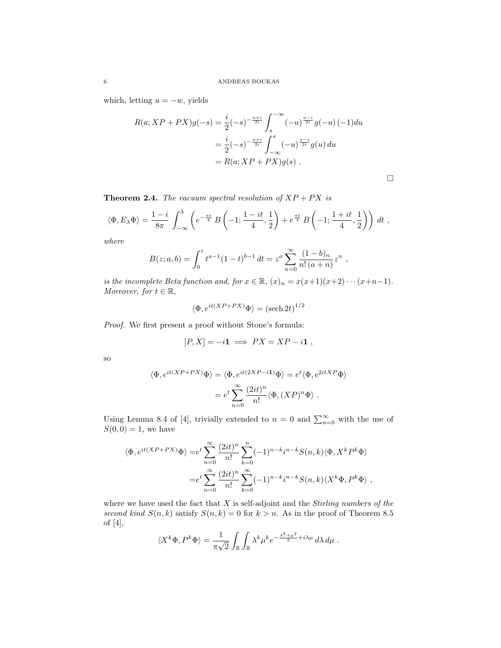which, letting  $u = -w$ , yields

$$
R(a;XP + PX)g(-s) = \frac{i}{2}(-s)^{-\frac{a+i}{2i}} \int_s^{-\infty} (-u)^{\frac{a-i}{2i}} g(-u) (-1) du
$$
  
=  $\frac{i}{2}(-s)^{-\frac{a+i}{2i}} \int_{-\infty}^s (-u)^{\frac{a-i}{2i}} g(u) du$   
=  $R(a;XP + PX)g(s)$ .

$$
\Box
$$

**Theorem 2.4.** *The vacuum spectral resolution of*  $XP + PX$  *is* 

$$
\langle \Phi, E_{\lambda} \Phi \rangle = \frac{1 - i}{8\pi} \int_{-\infty}^{\lambda} \left( e^{-\frac{\pi t}{4}} B\left(-1; \frac{1 - it}{4}, \frac{1}{2}\right) + e^{\frac{\pi t}{4}} B\left(-1; \frac{1 + it}{4}, \frac{1}{2}\right) \right) dt ,
$$

*where*

$$
B(z;a,b) = \int_0^z t^{a-1} (1-t)^{b-1} dt = z^a \sum_{n=0}^\infty \frac{(1-b)_n}{n! (a+n)} z^n ,
$$

*is the incomplete Beta function and, for*  $x \in \mathbb{R}$ *,*  $(x)_n = x(x+1)(x+2) \cdots (x+n-1)$ *. Moreover, for*  $t \in \mathbb{R}$ *,* 

$$
\langle \Phi, e^{it(XP+PX)}\Phi \rangle = (\text{sech } 2t)^{1/2}
$$

*Proof.* We first present a proof without Stone's formula:

$$
[P, X] = -i\mathbf{1} \implies PX = XP - i\mathbf{1} ,
$$

so

$$
\langle \Phi, e^{it(XP+PX)}\Phi \rangle = \langle \Phi, e^{it(2XP-i\mathbf{1})}\Phi \rangle = e^t \langle \Phi, e^{2itXP}\Phi \rangle
$$

$$
= e^t \sum_{n=0}^{\infty} \frac{(2it)^n}{n!} \langle \Phi, (XP)^n \Phi \rangle .
$$

Using Lemma 8.4 of [4], trivially extended to  $n = 0$  and  $\sum_{n=0}^{\infty}$  with the use of  $S(0,0) = 1$ , we have

$$
\langle \Phi, e^{it(XP+PX)}\Phi \rangle = e^t \sum_{n=0}^{\infty} \frac{(2it)^n}{n!} \sum_{k=0}^n (-1)^{n-k} i^{n-k} S(n,k) \langle \Phi, X^k P^k \Phi \rangle
$$
  

$$
= e^t \sum_{n=0}^{\infty} \frac{(2it)^n}{n!} \sum_{k=0}^{\infty} (-1)^{n-k} i^{n-k} S(n,k) \langle X^k \Phi, P^k \Phi \rangle ,
$$

where we have used the fact that *X* is self-adjoint and the *Stirling numbers of the second kind*  $S(n, k)$  satisfy  $S(n, k) = 0$  for  $k > n$ . As in the proof of Theorem 8.5 of [4],

$$
\langle X^k \Phi, P^k \Phi \rangle = \frac{1}{\pi \sqrt{2}} \int_{\mathbb{R}} \int_{\mathbb{R}} \lambda^k \mu^k e^{-\frac{\lambda^2 + \mu^2}{2} + i \lambda \mu} d\lambda d\mu.
$$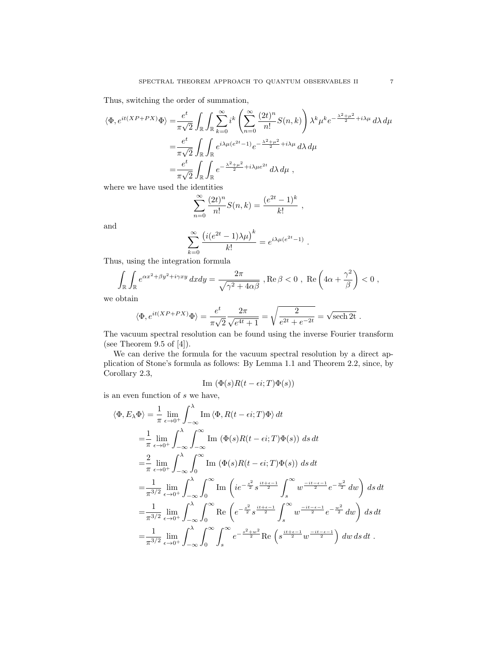Thus, switching the order of summation,

$$
\langle \Phi, e^{it(XP+PX)} \Phi \rangle = \frac{e^t}{\pi \sqrt{2}} \int_{\mathbb{R}} \int_{\mathbb{R}} \sum_{k=0}^{\infty} i^k \left( \sum_{n=0}^{\infty} \frac{(2t)^n}{n!} S(n, k) \right) \lambda^k \mu^k e^{-\frac{\lambda^2 + \mu^2}{2} + i\lambda \mu} d\lambda d\mu
$$
  

$$
= \frac{e^t}{\pi \sqrt{2}} \int_{\mathbb{R}} \int_{\mathbb{R}} e^{i\lambda \mu (e^{2t} - 1)} e^{-\frac{\lambda^2 + \mu^2}{2} + i\lambda \mu} d\lambda d\mu
$$
  

$$
= \frac{e^t}{\pi \sqrt{2}} \int_{\mathbb{R}} \int_{\mathbb{R}} e^{-\frac{\lambda^2 + \mu^2}{2} + i\lambda \mu e^{2t}} d\lambda d\mu ,
$$

where we have used the identities

$$
\sum_{n=0}^{\infty} \frac{(2t)^n}{n!} S(n,k) = \frac{(e^{2t} - 1)^k}{k!} ,
$$

and

$$
\sum_{k=0}^{\infty} \frac{\left(i(e^{2t}-1)\lambda\mu\right)^k}{k!} = e^{i\lambda\mu(e^{2t}-1)}.
$$

Thus, using the integration formula

$$
\int_{\mathbb{R}} \int_{\mathbb{R}} e^{\alpha x^2 + \beta y^2 + i\gamma xy} dx dy = \frac{2\pi}{\sqrt{\gamma^2 + 4\alpha\beta}} , \text{Re}\,\beta < 0 , \text{ Re}\left(4\alpha + \frac{\gamma^2}{\beta}\right) < 0 ,
$$

we obtain

$$
\langle \Phi, e^{it(XP+PX)} \Phi \rangle = \frac{e^t}{\pi \sqrt{2}} \frac{2\pi}{\sqrt{e^{4t}+1}} = \sqrt{\frac{2}{e^{2t}+e^{-2t}}} = \sqrt{\text{sech 2t}}.
$$

The vacuum spectral resolution can be found using the inverse Fourier transform (see Theorem 9.5 of  $[4]$ ).

We can derive the formula for the vacuum spectral resolution by a direct application of Stone's formula as follows: By Lemma 1.1 and Theorem 2.2, since, by Corollary 2.3,

Im 
$$
(\Phi(s)R(t-\epsilon i;T)\Phi(s))
$$

is an even function of *s* we have,

$$
\langle \Phi, E_{\lambda} \Phi \rangle = \frac{1}{\pi} \lim_{\epsilon \to 0^{+}} \int_{-\infty}^{\lambda} \text{Im} \langle \Phi, R(t - \epsilon i; T) \Phi \rangle dt
$$
  
\n
$$
= \frac{1}{\pi} \lim_{\epsilon \to 0^{+}} \int_{-\infty}^{\lambda} \int_{-\infty}^{\infty} \text{Im} (\Phi(s)R(t - \epsilon i; T) \Phi(s)) ds dt
$$
  
\n
$$
= \frac{2}{\pi} \lim_{\epsilon \to 0^{+}} \int_{-\infty}^{\lambda} \int_{0}^{\infty} \text{Im} (\Phi(s)R(t - \epsilon i; T) \Phi(s)) ds dt
$$
  
\n
$$
= \frac{1}{\pi^{3/2}} \lim_{\epsilon \to 0^{+}} \int_{-\infty}^{\lambda} \int_{0}^{\infty} \text{Im} \left( i e^{-\frac{s^{2}}{2}} s^{\frac{it + \epsilon - 1}{2}} \int_{s}^{\infty} w^{\frac{-it - \epsilon - 1}{2}} e^{-\frac{w^{2}}{2}} dw \right) ds dt
$$
  
\n
$$
= \frac{1}{\pi^{3/2}} \lim_{\epsilon \to 0^{+}} \int_{-\infty}^{\lambda} \int_{0}^{\infty} \text{Re} \left( e^{-\frac{s^{2}}{2}} s^{\frac{it + \epsilon - 1}{2}} \int_{s}^{\infty} w^{\frac{-it - \epsilon - 1}{2}} e^{-\frac{w^{2}}{2}} dw \right) ds dt
$$
  
\n
$$
= \frac{1}{\pi^{3/2}} \lim_{\epsilon \to 0^{+}} \int_{-\infty}^{\lambda} \int_{0}^{\infty} \int_{s}^{\infty} e^{-\frac{s^{2} + w^{2}}{2}} \text{Re} \left( s^{\frac{it + \epsilon - 1}{2}} w^{\frac{-it - \epsilon - 1}{2}} \right) dw ds dt.
$$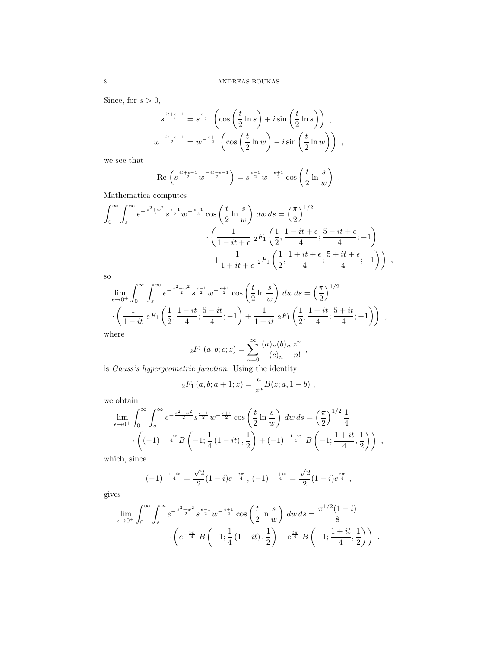Since, for  $s > 0$ ,

$$
s^{\frac{it+\epsilon-1}{2}} = s^{\frac{\epsilon-1}{2}} \left( \cos\left(\frac{t}{2}\ln s\right) + i \sin\left(\frac{t}{2}\ln s\right) \right) ,
$$
  

$$
w^{\frac{-it-\epsilon-1}{2}} = w^{-\frac{\epsilon+1}{2}} \left( \cos\left(\frac{t}{2}\ln w\right) - i \sin\left(\frac{t}{2}\ln w\right) \right) ,
$$

we see that

$$
\operatorname{Re}\left(s^{\frac{it+\epsilon-1}{2}}w^{\frac{-it-\epsilon-1}{2}}\right) = s^{\frac{\epsilon-1}{2}}w^{-\frac{\epsilon+1}{2}}\cos\left(\frac{t}{2}\ln\frac{s}{w}\right) .
$$

Mathematica computes

$$
\int_0^\infty \int_s^\infty e^{-\frac{s^2 + w^2}{2}} s^{\frac{\epsilon - 1}{2}} w^{-\frac{\epsilon + 1}{2}} \cos\left(\frac{t}{2} \ln \frac{s}{w}\right) dw ds = \left(\frac{\pi}{2}\right)^{1/2} \cdot \left(\frac{1}{1 - it + \epsilon} {}_2F_1\left(\frac{1}{2}, \frac{1 - it + \epsilon}{4}; \frac{5 - it + \epsilon}{4}; -1\right) + \frac{1}{1 + it + \epsilon} {}_2F_1\left(\frac{1}{2}, \frac{1 + it + \epsilon}{4}; \frac{5 + it + \epsilon}{4}; -1\right)\right) ,
$$

so

$$
\lim_{\epsilon \to 0^+} \int_0^\infty \int_s^\infty e^{-\frac{s^2 + w^2}{2}} s^{\frac{\epsilon - 1}{2}} w^{-\frac{\epsilon + 1}{2}} \cos\left(\frac{t}{2} \ln \frac{s}{w}\right) dw \, ds = \left(\frac{\pi}{2}\right)^{1/2} \cdot \left(\frac{1}{1 - it} \, {}_2F_1\left(\frac{1}{2}, \frac{1 - it}{4}; \frac{5 - it}{4}; -1\right) + \frac{1}{1 + it} \, {}_2F_1\left(\frac{1}{2}, \frac{1 + it}{4}; \frac{5 + it}{4}; -1\right)\right) ,
$$
\nwhere

where

$$
{}_2F_1(a, b; c; z) = \sum_{n=0}^{\infty} \frac{(a)_n (b)_n}{(c)_n} \frac{z^n}{n!},
$$

is *Gauss's hypergeometric function*. Using the identity

$$
{}_2F_1(a,b;a+1;z) = \frac{a}{z^a}B(z;a,1-b) ,
$$

we obtain

$$
\lim_{\epsilon \to 0^+} \int_0^\infty \int_s^\infty e^{-\frac{s^2 + w^2}{2}} s^{\frac{\epsilon - 1}{2}} w^{-\frac{\epsilon + 1}{2}} \cos\left(\frac{t}{2} \ln \frac{s}{w}\right) dw ds = \left(\frac{\pi}{2}\right)^{1/2} \frac{1}{4}
$$

$$
\cdot \left( (-1)^{-\frac{1 - it}{4}} B\left(-1; \frac{1}{4} (1 - it), \frac{1}{2}\right) + (-1)^{-\frac{1 + it}{4}} B\left(-1; \frac{1 + it}{4}, \frac{1}{2}\right) \right) ,
$$

which, since

$$
(-1)^{-\frac{1-it}{4}} = \frac{\sqrt{2}}{2}(1-i)e^{-\frac{i\pi}{4}}, (-1)^{-\frac{1+it}{4}} = \frac{\sqrt{2}}{2}(1-i)e^{\frac{i\pi}{4}},
$$

gives

$$
\lim_{\epsilon \to 0^+} \int_0^\infty \int_s^\infty e^{-\frac{s^2 + w^2}{2}} s^{\frac{\epsilon - 1}{2}} w^{-\frac{\epsilon + 1}{2}} \cos\left(\frac{t}{2} \ln \frac{s}{w}\right) dw \, ds = \frac{\pi^{1/2} (1 - i)}{8} \cdot \left(e^{-\frac{t\pi}{4}} B\left(-1; \frac{1}{4} (1 - it), \frac{1}{2}\right) + e^{\frac{t\pi}{4}} B\left(-1; \frac{1 + it}{4}, \frac{1}{2}\right)\right) .
$$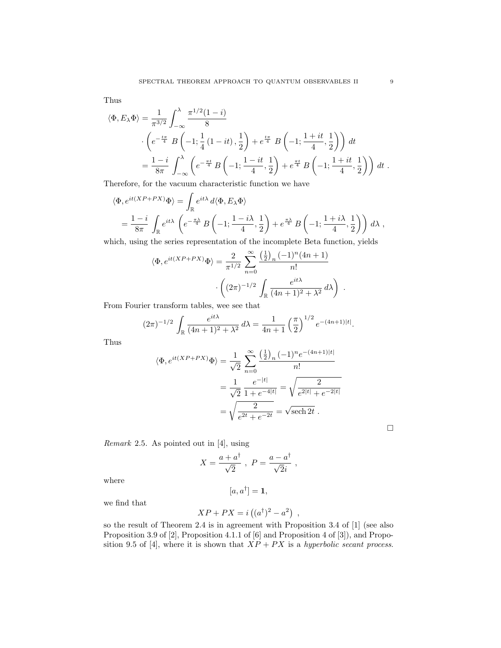Thus

$$
\langle \Phi, E_{\lambda} \Phi \rangle = \frac{1}{\pi^{3/2}} \int_{-\infty}^{\lambda} \frac{\pi^{1/2} (1 - i)}{8} \n\cdot \left( e^{-\frac{i\pi}{4}} B \left( -1; \frac{1}{4} (1 - it), \frac{1}{2} \right) + e^{\frac{i\pi}{4}} B \left( -1; \frac{1 + it}{4}, \frac{1}{2} \right) \right) dt \n= \frac{1 - i}{8\pi} \int_{-\infty}^{\lambda} \left( e^{-\frac{\pi i}{4}} B \left( -1; \frac{1 - it}{4}, \frac{1}{2} \right) + e^{\frac{\pi i}{4}} B \left( -1; \frac{1 + it}{4}, \frac{1}{2} \right) \right) dt.
$$

Therefore, for the vacuum characteristic function we have

$$
\langle \Phi, e^{it(XP+PX)}\Phi \rangle = \int_{\mathbb{R}} e^{it\lambda} d\langle \Phi, E_{\lambda}\Phi \rangle
$$
  
=  $\frac{1-i}{8\pi} \int_{\mathbb{R}} e^{it\lambda} \left( e^{-\frac{\pi\lambda}{4}} B\left(-1; \frac{1-i\lambda}{4}, \frac{1}{2}\right) + e^{\frac{\pi\lambda}{4}} B\left(-1; \frac{1+i\lambda}{4}, \frac{1}{2}\right) \right) d\lambda$ ,

which, using the series representation of the incomplete Beta function, yields

$$
\langle \Phi, e^{it(XP+PX)} \Phi \rangle = \frac{2}{\pi^{1/2}} \sum_{n=0}^{\infty} \frac{\left(\frac{1}{2}\right)_n (-1)^n (4n+1)}{n!} \cdot \left( (2\pi)^{-1/2} \int_{\mathbb{R}} \frac{e^{it\lambda}}{(4n+1)^2 + \lambda^2} d\lambda \right) .
$$

From Fourier transform tables, wee see that

$$
(2\pi)^{-1/2} \int_{\mathbb{R}} \frac{e^{it\lambda}}{(4n+1)^2 + \lambda^2} d\lambda = \frac{1}{4n+1} \left(\frac{\pi}{2}\right)^{1/2} e^{-(4n+1)|t|}.
$$

Thus

$$
\langle \Phi, e^{it(XP+PX)} \Phi \rangle = \frac{1}{\sqrt{2}} \sum_{n=0}^{\infty} \frac{\left(\frac{1}{2}\right)_n (-1)^n e^{-(4n+1)|t|}}{n!}
$$

$$
= \frac{1}{\sqrt{2}} \frac{e^{-|t|}}{1 + e^{-4|t|}} = \sqrt{\frac{2}{e^{2|t|} + e^{-2|t|}}}
$$

$$
= \sqrt{\frac{2}{e^{2t} + e^{-2t}}} = \sqrt{\text{sech 2t}}.
$$

*Remark* 2.5*.* As pointed out in [4], using

$$
X = \frac{a + a^{\dagger}}{\sqrt{2}} , \ P = \frac{a - a^{\dagger}}{\sqrt{2}i} ,
$$

where

$$
[a, a^{\dagger}] = \mathbf{1},
$$

we find that

$$
XP + PX = i((a^{\dagger})^2 - a^2),
$$

so the result of Theorem 2.4 is in agreement with Proposition 3.4 of [1] (see also Proposition 3.9 of [2], Proposition 4.1.1 of [6] and Proposition 4 of [3]), and Proposition 9.5 of [4], where it is shown that  $XP + PX$  is a *hyperbolic secant process*.

□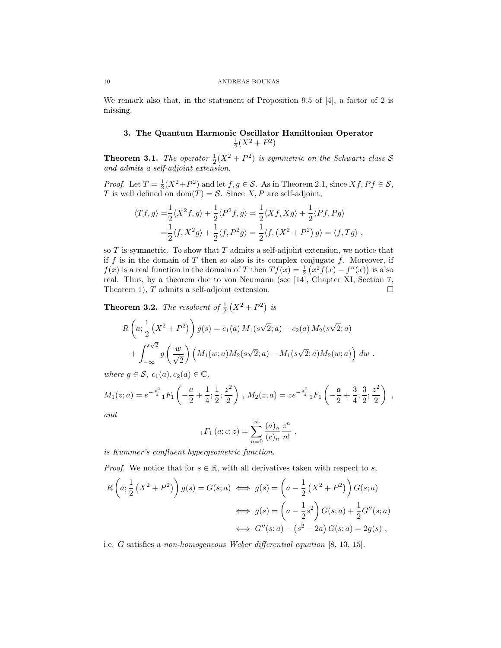#### 10 ANDREAS BOUKAS

We remark also that, in the statement of Proposition 9.5 of [4], a factor of 2 is missing.

## **3. The Quantum Harmonic Oscillator Hamiltonian Operator**  $\frac{1}{2}(X^2 + P^2)$

**Theorem 3.1.** The operator  $\frac{1}{2}(X^2 + P^2)$  is symmetric on the Schwartz class S *and admits a self-adjoint extension.*

*Proof.* Let  $T = \frac{1}{2}(X^2 + P^2)$  and let  $f, g \in S$ . As in Theorem 2.1, since  $Xf, Pf \in S$ , *T* is well defined on  $dom(T) = S$ . Since *X*, *P* are self-adjoint,

$$
\langle Tf, g \rangle = \frac{1}{2} \langle X^2 f, g \rangle + \frac{1}{2} \langle P^2 f, g \rangle = \frac{1}{2} \langle X f, X g \rangle + \frac{1}{2} \langle P f, P g \rangle
$$
  
=  $\frac{1}{2} \langle f, X^2 g \rangle + \frac{1}{2} \langle f, P^2 g \rangle = \frac{1}{2} \langle f, (X^2 + P^2) g \rangle = \langle f, T g \rangle$ ,

so *T* is symmetric. To show that *T* admits a self-adjoint extension, we notice that if  $f$  is in the domain of  $T$  then so also is its complex conjugate  $\bar{f}$ . Moreover, if *f*(*x*) is a real function in the domain of *T* then  $Tf(x) = \frac{1}{2}(x^2f(x) - f''(x))$  is also real. Thus, by a theorem due to von Neumann (see [14], Chapter XI, Section 7, Theorem 1),  $T$  admits a self-adjoint extension.  $\Box$ 

**Theorem 3.2.** *The resolvent of*  $\frac{1}{2}(X^2 + P^2)$  *is* 

$$
R\left(a; \frac{1}{2}\left(X^2 + P^2\right)\right)g(s) = c_1(a) M_1(s\sqrt{2}; a) + c_2(a) M_2(s\sqrt{2}; a) + \int_{-\infty}^{s\sqrt{2}} g\left(\frac{w}{\sqrt{2}}\right) \left(M_1(w; a)M_2(s\sqrt{2}; a) - M_1(s\sqrt{2}; a)M_2(w; a)\right) dw.
$$

*where*  $q \in \mathcal{S}$ *,*  $c_1(a), c_2(a) \in \mathbb{C}$ *,* 

$$
M_1(z;a) = e^{-\frac{z^2}{4}} {}_1F_1\left(-\frac{a}{2} + \frac{1}{4}; \frac{1}{2}; \frac{z^2}{2}\right), M_2(z;a) = ze^{-\frac{z^2}{4}} {}_1F_1\left(-\frac{a}{2} + \frac{3}{4}; \frac{3}{2}; \frac{z^2}{2}\right),
$$

*and*

$$
{}_1F_1(a;c;z) = \sum_{n=0}^{\infty} \frac{(a)_n}{(c)_n} \frac{z^n}{n!}
$$

*is Kummer's confluent hypergeometric function.*

*Proof.* We notice that for  $s \in \mathbb{R}$ , with all derivatives taken with respect to *s*,

$$
R\left(a; \frac{1}{2}\left(X^2 + P^2\right)\right)g(s) = G(s;a) \iff g(s) = \left(a - \frac{1}{2}\left(X^2 + P^2\right)\right)G(s;a)
$$

$$
\iff g(s) = \left(a - \frac{1}{2}s^2\right)G(s;a) + \frac{1}{2}G''(s;a)
$$

$$
\iff G''(s;a) - \left(s^2 - 2a\right)G(s;a) = 2g(s) ,
$$

i.e. *G* satisfies a *non-homogeneous Weber differential equation* [8, 13, 15].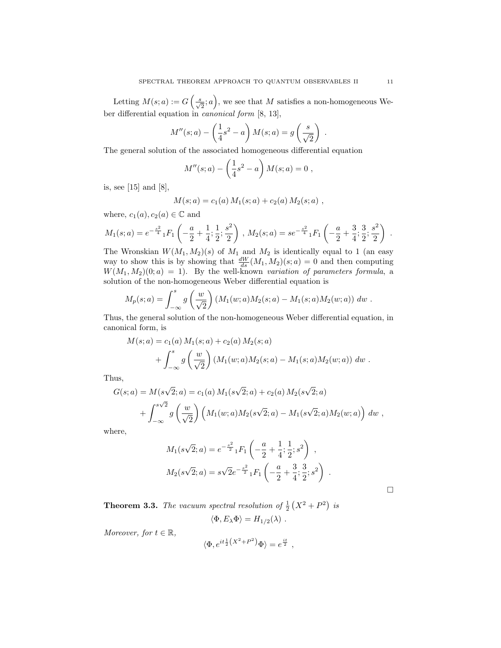Letting  $M(s; a) := G\left(\frac{s}{\sqrt{2}}; a\right)$ , we see that M satisfies a non-homogeneous Weber differential equation in *canonical form* [8, 13],

$$
M''(s;a) - \left(\frac{1}{4}s^2 - a\right)M(s;a) = g\left(\frac{s}{\sqrt{2}}\right) .
$$

The general solution of the associated homogeneous differential equation

$$
M''(s;a) - \left(\frac{1}{4}s^2 - a\right)M(s;a) = 0,
$$

is, see [15] and [8],

$$
M(s; a) = c_1(a) M_1(s; a) + c_2(a) M_2(s; a) ,
$$

where,  $c_1(a), c_2(a) \in \mathbb{C}$  and

$$
M_1(s;a) = e^{-\frac{s^2}{4}} {}_1F_1\left(-\frac{a}{2} + \frac{1}{4}; \frac{1}{2}; \frac{s^2}{2}\right), M_2(s;a) = se^{-\frac{s^2}{4}} {}_1F_1\left(-\frac{a}{2} + \frac{3}{4}; \frac{3}{2}; \frac{s^2}{2}\right).
$$

The Wronskian  $W(M_1, M_2)(s)$  of  $M_1$  and  $M_2$  is identically equal to 1 (an easy way to show this is by showing that  $\frac{dW}{ds}(M_1, M_2)(s; a) = 0$  and then computing  $W(M_1, M_2)(0; a) = 1$ . By the well-known *variation of parameters formula*, a solution of the non-homogeneous Weber differential equation is

$$
M_p(s;a) = \int_{-\infty}^s g\left(\frac{w}{\sqrt{2}}\right) (M_1(w;a)M_2(s;a) - M_1(s;a)M_2(w;a)) dw.
$$

Thus, the general solution of the non-homogeneous Weber differential equation, in canonical form, is

$$
M(s; a) = c_1(a) M_1(s; a) + c_2(a) M_2(s; a)
$$
  
+ 
$$
\int_{-\infty}^s g\left(\frac{w}{\sqrt{2}}\right) (M_1(w; a) M_2(s; a) - M_1(s; a) M_2(w; a)) dw.
$$

Thus,

$$
G(s; a) = M(s\sqrt{2}; a) = c_1(a) M_1(s\sqrt{2}; a) + c_2(a) M_2(s\sqrt{2}; a)
$$
  
+ 
$$
\int_{-\infty}^{s\sqrt{2}} g\left(\frac{w}{\sqrt{2}}\right) \left(M_1(w; a) M_2(s\sqrt{2}; a) - M_1(s\sqrt{2}; a) M_2(w; a)\right) dw,
$$

where,

$$
M_1(s\sqrt{2};a) = e^{-\frac{s^2}{2}} {}_1F_1\left(-\frac{a}{2} + \frac{1}{4}; \frac{1}{2}; s^2\right) ,
$$
  

$$
M_2(s\sqrt{2};a) = s\sqrt{2}e^{-\frac{s^2}{2}} {}_1F_1\left(-\frac{a}{2} + \frac{3}{4}; \frac{3}{2}; s^2\right) .
$$

□

**Theorem 3.3.** The vacuum spectral resolution of  $\frac{1}{2}(X^2 + P^2)$  is

$$
\langle \Phi, E_{\lambda} \Phi \rangle = H_{1/2}(\lambda) .
$$

*Moreover, for*  $t \in \mathbb{R}$ *,* 

$$
\langle \Phi, e^{it\frac{1}{2}\left(X^2 + P^2\right)}\Phi \rangle = e^{\frac{it}{2}},
$$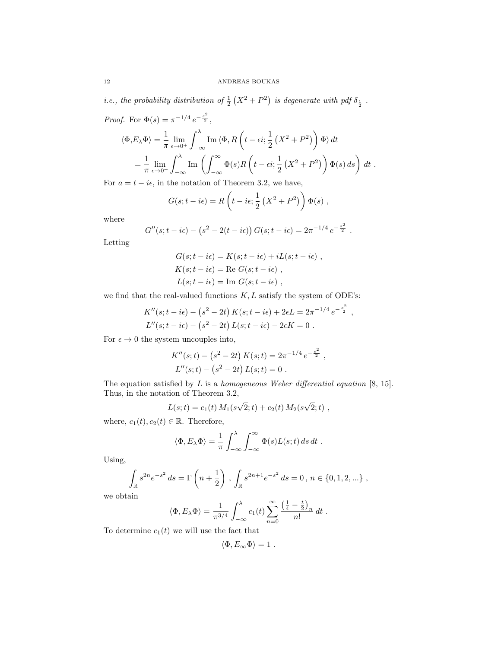*i.e., the probability distribution of*  $\frac{1}{2}(X^2 + P^2)$  *is degenerate with pdf*  $\delta_{\frac{1}{2}}$ .

Proof. For 
$$
\Phi(s) = \pi^{-1/4} e^{-\frac{s^2}{2}}
$$
,  
\n
$$
\langle \Phi, E_{\lambda} \Phi \rangle = \frac{1}{\pi} \lim_{\epsilon \to 0^+} \int_{-\infty}^{\lambda} \text{Im} \langle \Phi, R \left( t - \epsilon i; \frac{1}{2} \left( X^2 + P^2 \right) \right) \Phi \rangle dt
$$
\n
$$
= \frac{1}{\pi} \lim_{\epsilon \to 0^+} \int_{-\infty}^{\lambda} \text{Im} \left( \int_{-\infty}^{\infty} \Phi(s) R \left( t - \epsilon i; \frac{1}{2} \left( X^2 + P^2 \right) \right) \Phi(s) ds \right) dt.
$$

For  $a = t - i\epsilon$ , in the notation of Theorem 3.2, we have,

$$
G(s;t - i\epsilon) = R\left(t - i\epsilon; \frac{1}{2}\left(X^2 + P^2\right)\right)\Phi(s) ,
$$

where

$$
G''(s;t - i\epsilon) - (s^2 - 2(t - i\epsilon)) G(s;t - i\epsilon) = 2\pi^{-1/4} e^{-\frac{s^2}{2}}.
$$

Letting

$$
G(s; t - i\epsilon) = K(s; t - i\epsilon) + iL(s; t - i\epsilon) ,
$$
  
\n
$$
K(s; t - i\epsilon) = \text{Re } G(s; t - i\epsilon) ,
$$
  
\n
$$
L(s; t - i\epsilon) = \text{Im } G(s; t - i\epsilon) ,
$$

we find that the real-valued functions *K, L* satisfy the system of ODE's:

$$
K''(s; t - i\epsilon) - (s^2 - 2t) K(s; t - i\epsilon) + 2\epsilon L = 2\pi^{-1/4} e^{-\frac{s^2}{2}},
$$
  
\n
$$
L''(s; t - i\epsilon) - (s^2 - 2t) L(s; t - i\epsilon) - 2\epsilon K = 0.
$$

For  $\epsilon \to 0$  the system uncouples into,

$$
K''(s;t) - (s2 - 2t) K(s;t) = 2\pi^{-1/4} e^{-\frac{s^{2}}{2}},
$$
  

$$
L''(s;t) - (s^{2} - 2t) L(s;t) = 0.
$$

The equation satisfied by *L* is a *homogeneous Weber differential equation* [8, 15]. Thus, in the notation of Theorem 3.2,

$$
L(s;t) = c_1(t) M_1(s\sqrt{2};t) + c_2(t) M_2(s\sqrt{2};t) ,
$$

where,  $c_1(t), c_2(t) \in \mathbb{R}$ . Therefore,

$$
\langle \Phi, E_{\lambda} \Phi \rangle = \frac{1}{\pi} \int_{-\infty}^{\lambda} \int_{-\infty}^{\infty} \Phi(s) L(s; t) ds dt.
$$

Using,

$$
\int_{\mathbb{R}} s^{2n} e^{-s^2} ds = \Gamma\left(n + \frac{1}{2}\right), \int_{\mathbb{R}} s^{2n+1} e^{-s^2} ds = 0, n \in \{0, 1, 2, \ldots\} ,
$$

we obtain

$$
\langle \Phi, E_{\lambda} \Phi \rangle = \frac{1}{\pi^{3/4}} \int_{-\infty}^{\lambda} c_1(t) \sum_{n=0}^{\infty} \frac{\left(\frac{1}{4} - \frac{t}{2}\right)_n}{n!} dt.
$$

To determine  $c_1(t)$  we will use the fact that

$$
\langle \Phi, E_{\infty} \Phi \rangle = 1.
$$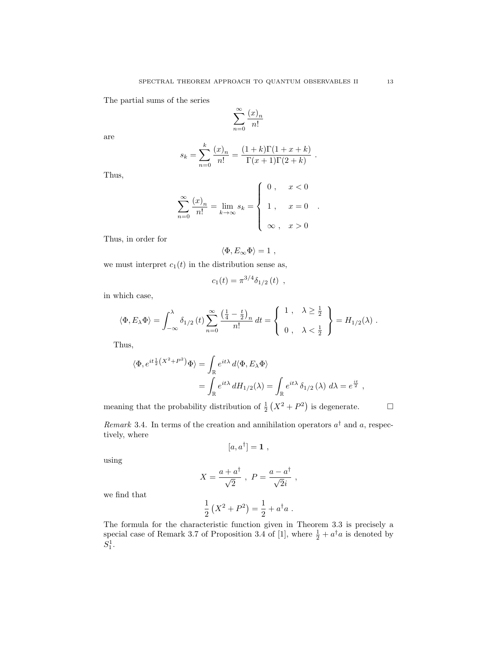The partial sums of the series

$$
\sum_{n=0}^{\infty} \frac{(x)_n}{n!}
$$

are

$$
s_k = \sum_{n=0}^k \frac{(x)_n}{n!} = \frac{(1+k)\Gamma(1+x+k)}{\Gamma(x+1)\Gamma(2+k)}.
$$

Thus,

$$
\sum_{n=0}^{\infty} \frac{(x)_n}{n!} = \lim_{k \to \infty} s_k = \begin{cases} 0, & x < 0 \\ 1, & x = 0 \\ \infty, & x > 0 \end{cases}
$$

Thus, in order for

$$
\langle \Phi, E_{\infty} \Phi \rangle = 1 ,
$$

we must interpret  $c_1(t)$  in the distribution sense as,

$$
c_1(t) = \pi^{3/4} \delta_{1/2} (t) ,
$$

in which case,

$$
\langle \Phi, E_{\lambda} \Phi \rangle = \int_{-\infty}^{\lambda} \delta_{1/2} (t) \sum_{n=0}^{\infty} \frac{\left(\frac{1}{4} - \frac{t}{2}\right)_n}{n!} dt = \begin{cases} 1, & \lambda \ge \frac{1}{2} \\ 0, & \lambda < \frac{1}{2} \end{cases} = H_{1/2}(\lambda) .
$$

Thus,

$$
\langle \Phi, e^{it\frac{1}{2}(X^2 + P^2)} \Phi \rangle = \int_{\mathbb{R}} e^{it\lambda} d\langle \Phi, E_{\lambda} \Phi \rangle
$$
  
= 
$$
\int_{\mathbb{R}} e^{it\lambda} dH_{1/2}(\lambda) = \int_{\mathbb{R}} e^{it\lambda} \delta_{1/2}(\lambda) d\lambda = e^{\frac{it}{2}},
$$

meaning that the probability distribution of  $\frac{1}{2}(X^2 + P^2)$  is degenerate.  $\Box$ 

*Remark* 3.4. In terms of the creation and annihilation operators  $a^{\dagger}$  and a, respectively, where

$$
[a,a^{\dagger}]=\mathbf{1}\ ,
$$

using

$$
X = \frac{a + a^{\dagger}}{\sqrt{2}} , \ P = \frac{a - a^{\dagger}}{\sqrt{2}i} ,
$$

we find that

$$
\frac{1}{2}(X^2 + P^2) = \frac{1}{2} + a^{\dagger}a.
$$

The formula for the characteristic function given in Theorem 3.3 is precisely a special case of Remark 3.7 of Proposition 3.4 of [1], where  $\frac{1}{2} + a^{\dagger} a$  is denoted by  $S_1^1$ .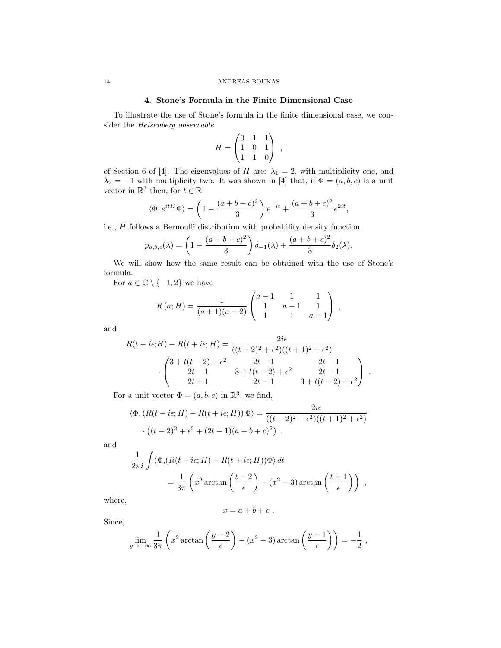### **4. Stone's Formula in the Finite Dimensional Case**

To illustrate the use of Stone's formula in the finite dimensional case, we consider the *Heisenberg observable*

$$
H = \begin{pmatrix} 0 & 1 & 1 \\ 1 & 0 & 1 \\ 1 & 1 & 0 \end{pmatrix} ,
$$

of Section 6 of [4]. The eigenvalues of *H* are:  $\lambda_1 = 2$ , with multiplicity one, and  $\lambda_2 = -1$  with multiplicity two. It was shown in [4] that, if  $\Phi = (a, b, c)$  is a unit vector in  $\mathbb{R}^3$  then, for  $t \in \mathbb{R}$ :

$$
\langle \Phi, e^{itH} \Phi \rangle = \left(1 - \frac{(a+b+c)^2}{3}\right) e^{-it} + \frac{(a+b+c)^2}{3} e^{2it},
$$

i.e., *H* follows a Bernoulli distribution with probability density function

$$
p_{a,b,c}(\lambda) = \left(1 - \frac{(a+b+c)^2}{3}\right)\delta_{-1}(\lambda) + \frac{(a+b+c)^2}{3}\delta_2(\lambda).
$$

We will show how the same result can be obtained with the use of Stone's formula.

For  $a \in \mathbb{C} \setminus \{-1,2\}$  we have

$$
R(a;H) = \frac{1}{(a+1)(a-2)} \begin{pmatrix} a-1 & 1 & 1 \ 1 & a-1 & 1 \ 1 & 1 & a-1 \end{pmatrix} ,
$$

and

$$
R(t - i\epsilon; H) - R(t + i\epsilon; H) = \frac{2i\epsilon}{((t - 2)^2 + \epsilon^2)((t + 1)^2 + \epsilon^2)}
$$

$$
\cdot \begin{pmatrix} 3 + t(t - 2) + \epsilon^2 & 2t - 1 & 2t - 1 \\ 2t - 1 & 3 + t(t - 2) + \epsilon^2 & 2t - 1 \\ 2t - 1 & 2t - 1 & 3 + t(t - 2) + \epsilon^2 \end{pmatrix}.
$$

For a unit vector  $\Phi = (a, b, c)$  in  $\mathbb{R}^3$ , we find,

$$
\langle \Phi, (R(t - i\epsilon; H) - R(t + i\epsilon; H)) \Phi \rangle = \frac{2i\epsilon}{((t - 2)^2 + \epsilon^2)((t + 1)^2 + \epsilon^2)}
$$

$$
\cdot ((t - 2)^2 + \epsilon^2 + (2t - 1)(a + b + c)^2),
$$

and

$$
\frac{1}{2\pi i} \int \langle \Phi, (R(t - i\epsilon; H) - R(t + i\epsilon; H))\Phi \rangle dt
$$
  
=  $\frac{1}{3\pi} \left( x^2 \arctan\left(\frac{t - 2}{\epsilon}\right) - (x^2 - 3) \arctan\left(\frac{t + 1}{\epsilon}\right) \right)$ ,

where,

$$
x = a + b + c \; .
$$

Since,

$$
\lim_{y \to -\infty} \frac{1}{3\pi} \left( x^2 \arctan\left(\frac{y-2}{\epsilon}\right) - (x^2 - 3) \arctan\left(\frac{y+1}{\epsilon}\right) \right) = -\frac{1}{2},
$$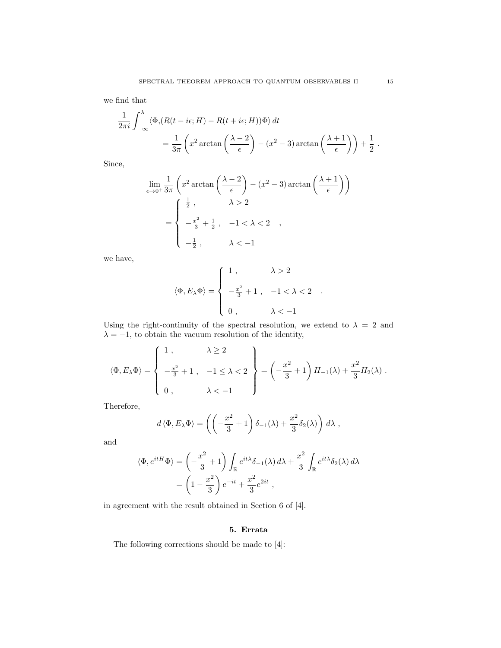we find that

$$
\frac{1}{2\pi i} \int_{-\infty}^{\lambda} \langle \Phi, (R(t - i\epsilon; H) - R(t + i\epsilon; H))\Phi \rangle dt
$$
  
=  $\frac{1}{3\pi} \left( x^2 \arctan\left(\frac{\lambda - 2}{\epsilon}\right) - (x^2 - 3) \arctan\left(\frac{\lambda + 1}{\epsilon}\right) \right) + \frac{1}{2}.$ 

Since,

$$
\lim_{\epsilon \to 0^+} \frac{1}{3\pi} \left( x^2 \arctan\left( \frac{\lambda - 2}{\epsilon} \right) - (x^2 - 3) \arctan\left( \frac{\lambda + 1}{\epsilon} \right) \right)
$$

$$
= \begin{cases} \frac{1}{2}, & \lambda > 2 \\ -\frac{x^2}{3} + \frac{1}{2}, & -1 < \lambda < 2 \\ -\frac{1}{2}, & \lambda < -1 \end{cases}
$$

we have,

$$
\langle \Phi, E_{\lambda} \Phi \rangle = \begin{cases} 1, & \lambda > 2 \\ -\frac{x^2}{3} + 1, & -1 < \lambda < 2 \\ 0, & \lambda < -1 \end{cases}
$$

Using the right-continuity of the spectral resolution, we extend to  $\lambda = 2$  and  $\lambda = -1$ , to obtain the vacuum resolution of the identity,

$$
\langle \Phi, E_{\lambda} \Phi \rangle = \begin{cases} 1, & \lambda \ge 2 \\ -\frac{x^2}{3} + 1, & -1 \le \lambda < 2 \\ 0, & \lambda < -1 \end{cases} = \left( -\frac{x^2}{3} + 1 \right) H_{-1}(\lambda) + \frac{x^2}{3} H_2(\lambda) \,.
$$

Therefore,

$$
d\langle \Phi, E_{\lambda} \Phi \rangle = \left( \left( -\frac{x^2}{3} + 1 \right) \delta_{-1}(\lambda) + \frac{x^2}{3} \delta_2(\lambda) \right) d\lambda ,
$$

and

$$
\langle \Phi, e^{itH} \Phi \rangle = \left( -\frac{x^2}{3} + 1 \right) \int_{\mathbb{R}} e^{it\lambda} \delta_{-1}(\lambda) d\lambda + \frac{x^2}{3} \int_{\mathbb{R}} e^{it\lambda} \delta_2(\lambda) d\lambda \n= \left( 1 - \frac{x^2}{3} \right) e^{-it} + \frac{x^2}{3} e^{2it} ,
$$

in agreement with the result obtained in Section 6 of [4].

## **5. Errata**

The following corrections should be made to [4]: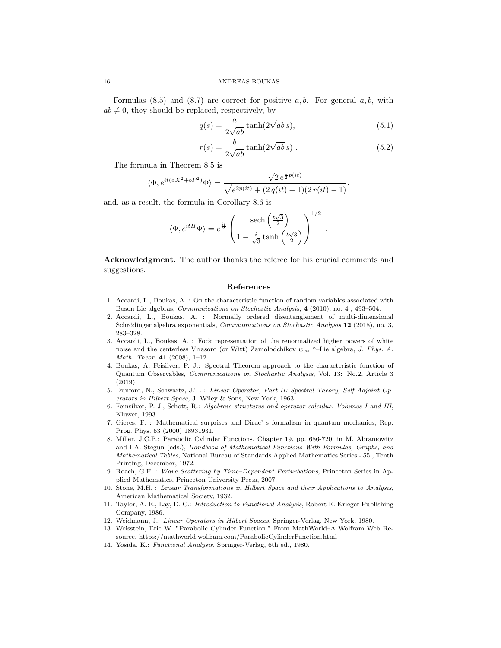Formulas (8.5) and (8.7) are correct for positive *a, b*. For general *a, b*, with  $ab \neq 0$ , they should be replaced, respectively, by

$$
q(s) = \frac{a}{2\sqrt{ab}}\tanh(2\sqrt{ab}\,s),\tag{5.1}
$$

$$
r(s) = \frac{b}{2\sqrt{ab}}\tanh(2\sqrt{ab}\,s) \tag{5.2}
$$

*.*

The formula in Theorem 8.5 is

$$
\langle \Phi, e^{it(aX^2 + bP^2)} \Phi \rangle = \frac{\sqrt{2} e^{\frac{1}{2}p(it)}}{\sqrt{e^{2p(it)} + (2q(it) - 1)(2r(it) - 1)}}.
$$

and, as a result, the formula in Corollary 8.6 is

$$
\langle \Phi, e^{itH} \Phi \rangle = e^{\frac{it}{2}} \left( \frac{\text{sech}\left(\frac{t\sqrt{3}}{2}\right)}{1 - \frac{i}{\sqrt{3}} \tanh\left(\frac{t\sqrt{3}}{2}\right)} \right)^{1/2}
$$

**Acknowledgment.** The author thanks the referee for his crucial comments and suggestions.

#### **References**

- 1. Accardi, L., Boukas, A. : On the characteristic function of random variables associated with Boson Lie algebras, *Communications on Stochastic Analysis*, **4** (2010), no. 4 , 493–504.
- 2. Accardi, L., Boukas, A. : Normally ordered disentanglement of multi-dimensional Schrödinger algebra exponentials, *Communications on Stochastic Analysis* 12 (2018), no. 3, 283–328.
- 3. Accardi, L., Boukas, A. : Fock representation of the renormalized higher powers of white noise and the centerless Virasoro (or Witt) Zamolodchikov *w<sup>∞</sup>* \*–Lie algebra, *J. Phys. A: Math. Theor.* **41** (2008), 1–12.
- 4. Boukas, A, Feisilver, P. J.: Spectral Theorem approach to the characteristic function of Quantum Observables, *Communications on Stochastic Analysis*, Vol. 13: No.2, Article 3 (2019).
- 5. Dunford, N., Schwartz, J.T. : *Linear Operator, Part II: Spectral Theory, Self Adjoint Operators in Hilbert Space*, J. Wiley & Sons, New York, 1963.
- 6. Feinsilver, P. J., Schott, R.: *Algebraic structures and operator calculus. Volumes I and III*, Kluwer, 1993.
- 7. Gieres, F. : Mathematical surprises and Dirac' s formalism in quantum mechanics, Rep. Prog. Phys. 63 (2000) 18931931.
- 8. Miller, J.C.P.: Parabolic Cylinder Functions, Chapter 19, pp. 686-720, in M. Abramowitz and I.A. Stegun (eds.), *Handbook of Mathematical Functions With Formulas, Graphs, and Mathematical Tables*, National Bureau of Standards Applied Mathematics Series - 55 , Tenth Printing, December, 1972.
- 9. Roach, G.F. : *Wave Scattering by Time–Dependent Perturbations*, Princeton Series in Applied Mathematics, Princeton University Press, 2007.
- 10. Stone, M.H. : *Linear Transformations in Hilbert Space and their Applications to Analysis*, American Mathematical Society, 1932.
- 11. Taylor, A. E., Lay, D. C.: *Introduction to Functional Analysis*, Robert E. Krieger Publishing Company, 1986.
- 12. Weidmann, J.: *Linear Operators in Hilbert Spaces*, Springer-Verlag, New York, 1980.
- 13. Weisstein, Eric W. "Parabolic Cylinder Function." From MathWorld–A Wolfram Web Resource. https://mathworld.wolfram.com/ParabolicCylinderFunction.html
- 14. Yosida, K.: *Functional Analysis*, Springer-Verlag, 6th ed., 1980.